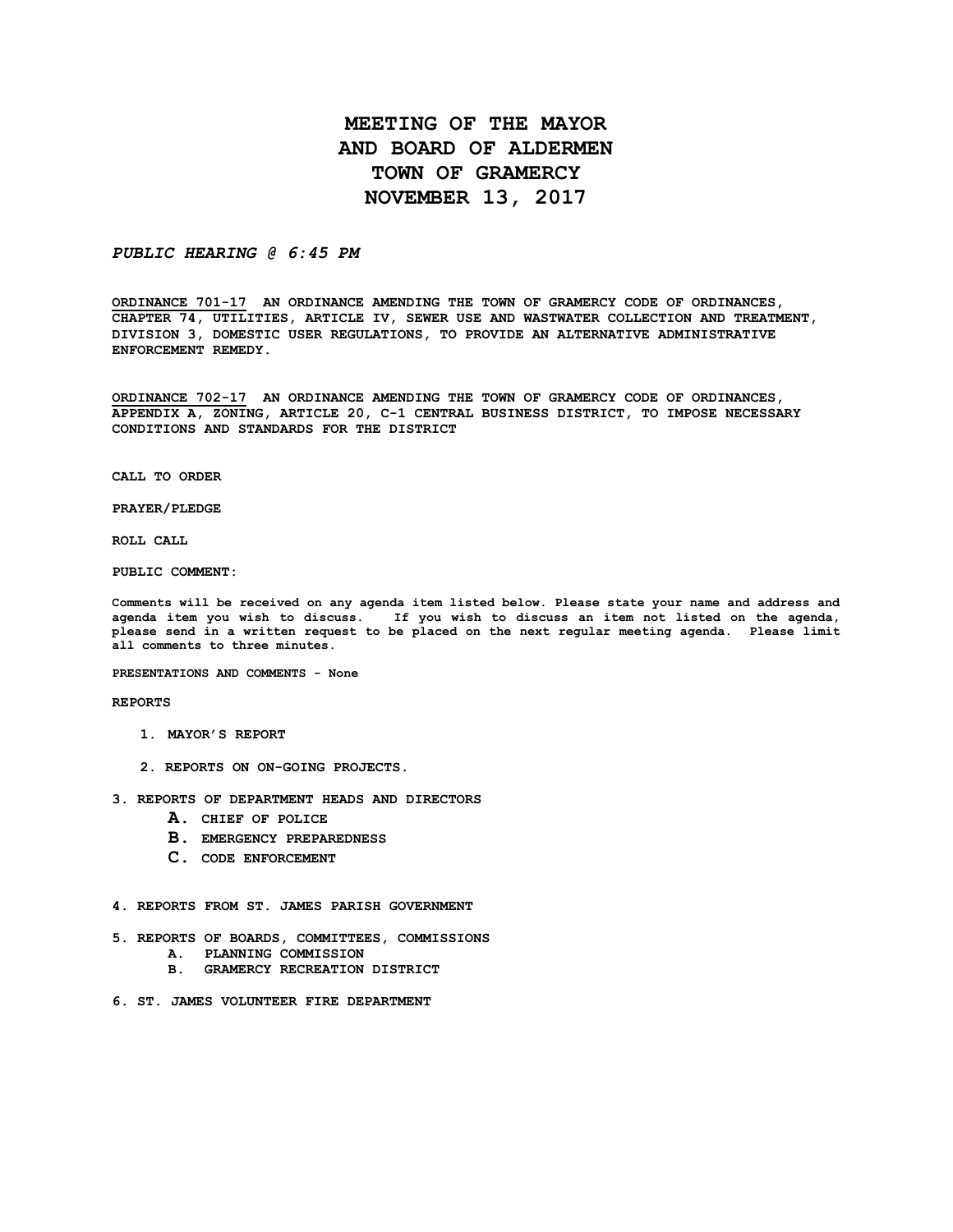# **MEETING OF THE MAYOR AND BOARD OF ALDERMEN TOWN OF GRAMERCY NOVEMBER 13, 2017**

## *PUBLIC HEARING @ 6:45 PM*

**ORDINANCE 701-17 AN ORDINANCE AMENDING THE TOWN OF GRAMERCY CODE OF ORDINANCES, CHAPTER 74, UTILITIES, ARTICLE IV, SEWER USE AND WASTWATER COLLECTION AND TREATMENT, DIVISION 3, DOMESTIC USER REGULATIONS, TO PROVIDE AN ALTERNATIVE ADMINISTRATIVE ENFORCEMENT REMEDY.**

**ORDINANCE 702-17 AN ORDINANCE AMENDING THE TOWN OF GRAMERCY CODE OF ORDINANCES, APPENDIX A, ZONING, ARTICLE 20, C-1 CENTRAL BUSINESS DISTRICT, TO IMPOSE NECESSARY CONDITIONS AND STANDARDS FOR THE DISTRICT**

**CALL TO ORDER**

**PRAYER/PLEDGE**

**ROLL CALL**

**PUBLIC COMMENT:**

**Comments will be received on any agenda item listed below. Please state your name and address and agenda item you wish to discuss. If you wish to discuss an item not listed on the agenda, please send in a written request to be placed on the next regular meeting agenda. Please limit all comments to three minutes.**

**PRESENTATIONS AND COMMENTS - None**

**REPORTS**

- **1. MAYOR'S REPORT**
- **2. REPORTS ON ON-GOING PROJECTS.**
- **3. REPORTS OF DEPARTMENT HEADS AND DIRECTORS**
	- **A. CHIEF OF POLICE**
	- **B. EMERGENCY PREPAREDNESS**
	- **C. CODE ENFORCEMENT**
- **4. REPORTS FROM ST. JAMES PARISH GOVERNMENT**
- **5. REPORTS OF BOARDS, COMMITTEES, COMMISSIONS**
	- **A. PLANNING COMMISSION**
	- **B. GRAMERCY RECREATION DISTRICT**
- **6. ST. JAMES VOLUNTEER FIRE DEPARTMENT**